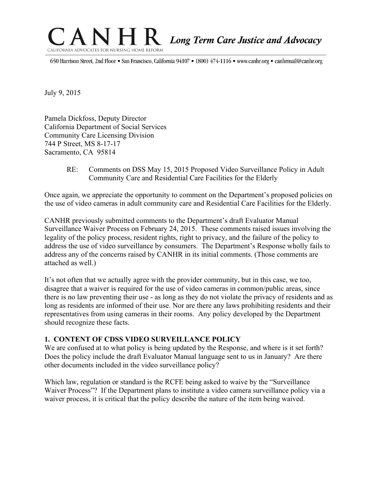

650 Harrison Street, 2nd Floor • San Francisco, California 94107 • (800) 474-1116 • www.canhr.org • canhrmail@canhr.org

July 9, 2015

Pamela Dickfoss, Deputy Director California Department of Social Services Community Care Licensing Division 744 P Street, MS 8-17-17 Sacramento, CA 95814

> RE: Comments on DSS May 15, 2015 Proposed Video Surveillance Policy in Adult Community Care and Residential Care Facilities for the Elderly

Once again, we appreciate the opportunity to comment on the Department's proposed policies on the use of video cameras in adult community care and Residential Care Facilities for the Elderly.

CANHR previously submitted comments to the Department's draft Evaluator Manual Surveillance Waiver Process on February 24, 2015. These comments raised issues involving the legality of the policy process, resident rights, right to privacy, and the failure of the policy to address the use of video surveillance by consumers. The Department's Response wholly fails to address any of the concerns raised by CANHR in its initial comments. (Those comments are attached as well.)

It's not often that we actually agree with the provider community, but in this case, we too, disagree that a waiver is required for the use of video cameras in common/public areas, since there is no law preventing their use - as long as they do not violate the privacy of residents and as long as residents are informed of their use. Nor are there any laws prohibiting residents and their representatives from using cameras in their rooms. Any policy developed by the Department should recognize these facts.

### **1. CONTENT OF CDSS VIDEO SURVEILLANCE POLICY**

We are confused at to what policy is being updated by the Response, and where is it set forth? Does the policy include the draft Evaluator Manual language sent to us in January? Are there other documents included in the video surveillance policy?

Which law, regulation or standard is the RCFE being asked to waive by the "Surveillance Waiver Process"? If the Department plans to institute a video camera surveillance policy via a waiver process, it is critical that the policy describe the nature of the item being waived.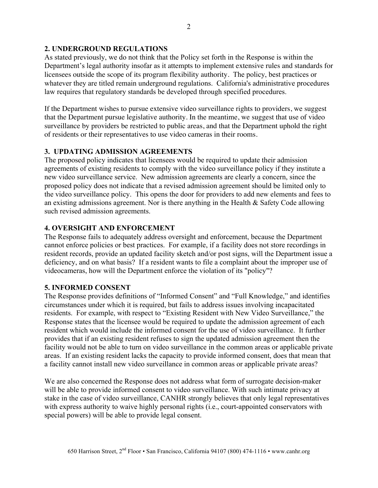### **2. UNDERGROUND REGULATIONS**

As stated previously, we do not think that the Policy set forth in the Response is within the Department's legal authority insofar as it attempts to implement extensive rules and standards for licensees outside the scope of its program flexibility authority. The policy, best practices or whatever they are titled remain underground regulations. California's administrative procedures law requires that regulatory standards be developed through specified procedures.

If the Department wishes to pursue extensive video surveillance rights to providers, we suggest that the Department pursue legislative authority. In the meantime, we suggest that use of video surveillance by providers be restricted to public areas, and that the Department uphold the right of residents or their representatives to use video cameras in their rooms.

# **3. UPDATING ADMISSION AGREEMENTS**

The proposed policy indicates that licensees would be required to update their admission agreements of existing residents to comply with the video surveillance policy if they institute a new video surveillance service. New admission agreements are clearly a concern, since the proposed policy does not indicate that a revised admission agreement should be limited only to the video surveillance policy. This opens the door for providers to add new elements and fees to an existing admissions agreement. Nor is there anything in the Health  $\&$  Safety Code allowing such revised admission agreements.

## **4. OVERSIGHT AND ENFORCEMENT**

The Response fails to adequately address oversight and enforcement, because the Department cannot enforce policies or best practices. For example, if a facility does not store recordings in resident records, provide an updated facility sketch and/or post signs, will the Department issue a deficiency, and on what basis? If a resident wants to file a complaint about the improper use of videocameras, how will the Department enforce the violation of its "policy"?

## **5. INFORMED CONSENT**

The Response provides definitions of "Informed Consent" and "Full Knowledge," and identifies circumstances under which it is required, but fails to address issues involving incapacitated residents. For example, with respect to "Existing Resident with New Video Surveillance," the Response states that the licensee would be required to update the admission agreement of each resident which would include the informed consent for the use of video surveillance. It further provides that if an existing resident refuses to sign the updated admission agreement then the facility would not be able to turn on video surveillance in the common areas or applicable private areas. If an existing resident lacks the capacity to provide informed consent, does that mean that a facility cannot install new video surveillance in common areas or applicable private areas?

We are also concerned the Response does not address what form of surrogate decision-maker will be able to provide informed consent to video surveillance. With such intimate privacy at stake in the case of video surveillance, CANHR strongly believes that only legal representatives with express authority to waive highly personal rights (i.e., court-appointed conservators with special powers) will be able to provide legal consent.